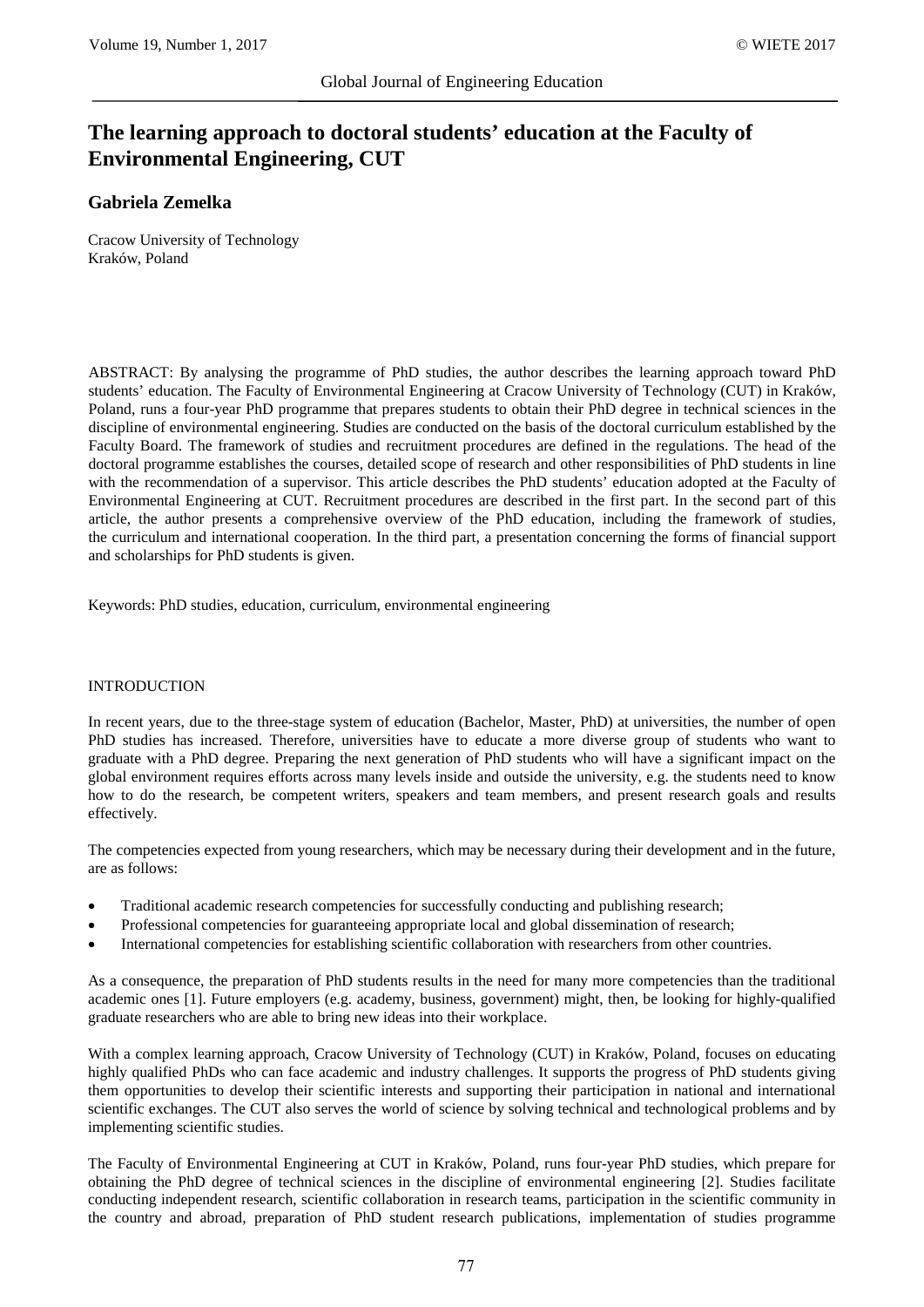# **The learning approach to doctoral students' education at the Faculty of Environmental Engineering, CUT**

## **Gabriela Zemelka**

Cracow University of Technology Kraków, Poland

ABSTRACT: By analysing the programme of PhD studies, the author describes the learning approach toward PhD students' education. The Faculty of Environmental Engineering at Cracow University of Technology (CUT) in Kraków, Poland, runs a four-year PhD programme that prepares students to obtain their PhD degree in technical sciences in the discipline of environmental engineering. Studies are conducted on the basis of the doctoral curriculum established by the Faculty Board. The framework of studies and recruitment procedures are defined in the regulations. The head of the doctoral programme establishes the courses, detailed scope of research and other responsibilities of PhD students in line with the recommendation of a supervisor. This article describes the PhD students' education adopted at the Faculty of Environmental Engineering at CUT. Recruitment procedures are described in the first part. In the second part of this article, the author presents a comprehensive overview of the PhD education, including the framework of studies, the curriculum and international cooperation. In the third part, a presentation concerning the forms of financial support and scholarships for PhD students is given.

Keywords: PhD studies, education, curriculum, environmental engineering

## INTRODUCTION

In recent years, due to the three-stage system of education (Bachelor, Master, PhD) at universities, the number of open PhD studies has increased. Therefore, universities have to educate a more diverse group of students who want to graduate with a PhD degree. Preparing the next generation of PhD students who will have a significant impact on the global environment requires efforts across many levels inside and outside the university, e.g. the students need to know how to do the research, be competent writers, speakers and team members, and present research goals and results effectively.

The competencies expected from young researchers, which may be necessary during their development and in the future, are as follows:

- Traditional academic research competencies for successfully conducting and publishing research;
- Professional competencies for guaranteeing appropriate local and global dissemination of research;
- International competencies for establishing scientific collaboration with researchers from other countries.

As a consequence, the preparation of PhD students results in the need for many more competencies than the traditional academic ones [1]. Future employers (e.g. academy, business, government) might, then, be looking for highly-qualified graduate researchers who are able to bring new ideas into their workplace.

With a complex learning approach, Cracow University of Technology (CUT) in Kraków, Poland, focuses on educating highly qualified PhDs who can face academic and industry challenges. It supports the progress of PhD students giving them opportunities to develop their scientific interests and supporting their participation in national and international scientific exchanges. The CUT also serves the world of science by solving technical and technological problems and by implementing scientific studies.

The Faculty of Environmental Engineering at CUT in Kraków, Poland, runs four-year PhD studies, which prepare for obtaining the PhD degree of technical sciences in the discipline of environmental engineering [2]. Studies facilitate conducting independent research, scientific collaboration in research teams, participation in the scientific community in the country and abroad, preparation of PhD student research publications, implementation of studies programme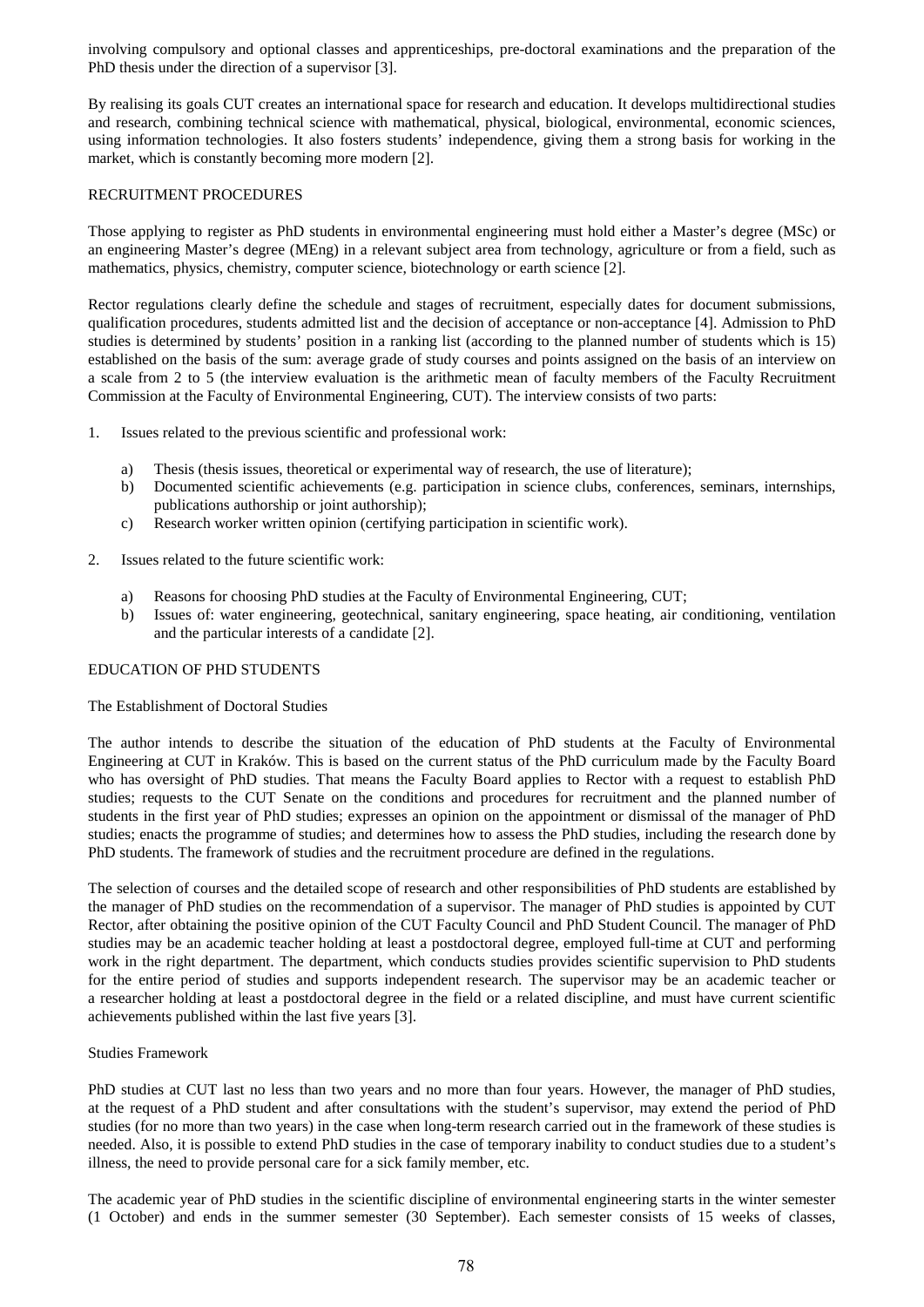involving compulsory and optional classes and apprenticeships, pre-doctoral examinations and the preparation of the PhD thesis under the direction of a supervisor [3].

By realising its goals CUT creates an international space for research and education. It develops multidirectional studies and research, combining technical science with mathematical, physical, biological, environmental, economic sciences, using information technologies. It also fosters students' independence, giving them a strong basis for working in the market, which is constantly becoming more modern [2].

## RECRUITMENT PROCEDURES

Those applying to register as PhD students in environmental engineering must hold either a Master's degree (MSc) or an engineering Master's degree (MEng) in a relevant subject area from technology, agriculture or from a field, such as mathematics, physics, chemistry, computer science, biotechnology or earth science [2].

Rector regulations clearly define the schedule and stages of recruitment, especially dates for document submissions, qualification procedures, students admitted list and the decision of acceptance or non-acceptance [4]. Admission to PhD studies is determined by students' position in a ranking list (according to the planned number of students which is 15) established on the basis of the sum: average grade of study courses and points assigned on the basis of an interview on a scale from 2 to 5 (the interview evaluation is the arithmetic mean of faculty members of the Faculty Recruitment Commission at the Faculty of Environmental Engineering, CUT). The interview consists of two parts:

- 1. Issues related to the previous scientific and professional work:
	- a) Thesis (thesis issues, theoretical or experimental way of research, the use of literature);
	- b) Documented scientific achievements (e.g. participation in science clubs, conferences, seminars, internships, publications authorship or joint authorship);
	- c) Research worker written opinion (certifying participation in scientific work).
- 2. Issues related to the future scientific work:
	- a) Reasons for choosing PhD studies at the Faculty of Environmental Engineering, CUT;
	- b) Issues of: water engineering, geotechnical, sanitary engineering, space heating, air conditioning, ventilation and the particular interests of a candidate [2].

## EDUCATION OF PHD STUDENTS

#### The Establishment of Doctoral Studies

The author intends to describe the situation of the education of PhD students at the Faculty of Environmental Engineering at CUT in Kraków. This is based on the current status of the PhD curriculum made by the Faculty Board who has oversight of PhD studies. That means the Faculty Board applies to Rector with a request to establish PhD studies; requests to the CUT Senate on the conditions and procedures for recruitment and the planned number of students in the first year of PhD studies; expresses an opinion on the appointment or dismissal of the manager of PhD studies; enacts the programme of studies; and determines how to assess the PhD studies, including the research done by PhD students. The framework of studies and the recruitment procedure are defined in the regulations.

The selection of courses and the detailed scope of research and other responsibilities of PhD students are established by the manager of PhD studies on the recommendation of a supervisor. The manager of PhD studies is appointed by CUT Rector, after obtaining the positive opinion of the CUT Faculty Council and PhD Student Council. The manager of PhD studies may be an academic teacher holding at least a postdoctoral degree, employed full-time at CUT and performing work in the right department. The department, which conducts studies provides scientific supervision to PhD students for the entire period of studies and supports independent research. The supervisor may be an academic teacher or a researcher holding at least a postdoctoral degree in the field or a related discipline, and must have current scientific achievements published within the last five years [3].

#### Studies Framework

PhD studies at CUT last no less than two years and no more than four years. However, the manager of PhD studies, at the request of a PhD student and after consultations with the student's supervisor, may extend the period of PhD studies (for no more than two years) in the case when long-term research carried out in the framework of these studies is needed. Also, it is possible to extend PhD studies in the case of temporary inability to conduct studies due to a student's illness, the need to provide personal care for a sick family member, etc.

The academic year of PhD studies in the scientific discipline of environmental engineering starts in the winter semester (1 October) and ends in the summer semester (30 September). Each semester consists of 15 weeks of classes,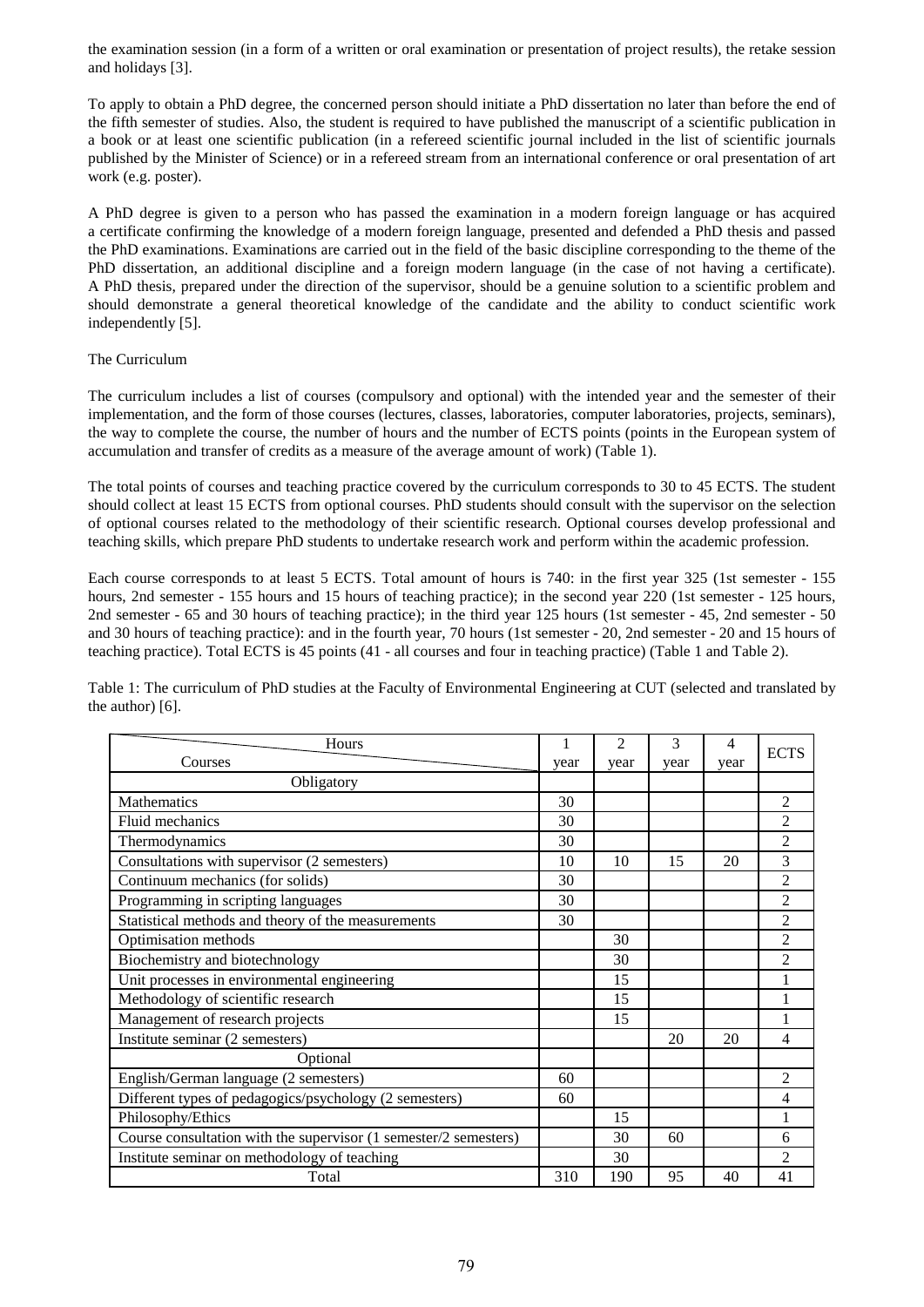the examination session (in a form of a written or oral examination or presentation of project results), the retake session and holidays [3].

To apply to obtain a PhD degree, the concerned person should initiate a PhD dissertation no later than before the end of the fifth semester of studies. Also, the student is required to have published the manuscript of a scientific publication in a book or at least one scientific publication (in a refereed scientific journal included in the list of scientific journals published by the Minister of Science) or in a refereed stream from an international conference or oral presentation of art work (e.g. poster).

A PhD degree is given to a person who has passed the examination in a modern foreign language or has acquired a certificate confirming the knowledge of a modern foreign language, presented and defended a PhD thesis and passed the PhD examinations. Examinations are carried out in the field of the basic discipline corresponding to the theme of the PhD dissertation, an additional discipline and a foreign modern language (in the case of not having a certificate). A PhD thesis, prepared under the direction of the supervisor, should be a genuine solution to a scientific problem and should demonstrate a general theoretical knowledge of the candidate and the ability to conduct scientific work independently [5].

## The Curriculum

The curriculum includes a list of courses (compulsory and optional) with the intended year and the semester of their implementation, and the form of those courses (lectures, classes, laboratories, computer laboratories, projects, seminars), the way to complete the course, the number of hours and the number of ECTS points (points in the European system of accumulation and transfer of credits as a measure of the average amount of work) (Table 1).

The total points of courses and teaching practice covered by the curriculum corresponds to 30 to 45 ECTS. The student should collect at least 15 ECTS from optional courses. PhD students should consult with the supervisor on the selection of optional courses related to the methodology of their scientific research. Optional courses develop professional and teaching skills, which prepare PhD students to undertake research work and perform within the academic profession.

Each course corresponds to at least 5 ECTS. Total amount of hours is 740: in the first year 325 (1st semester - 155 hours, 2nd semester - 155 hours and 15 hours of teaching practice); in the second year 220 (1st semester - 125 hours, 2nd semester - 65 and 30 hours of teaching practice); in the third year 125 hours (1st semester - 45, 2nd semester - 50 and 30 hours of teaching practice): and in the fourth year, 70 hours (1st semester - 20, 2nd semester - 20 and 15 hours of teaching practice). Total ECTS is 45 points (41 - all courses and four in teaching practice) (Table 1 and Table 2).

Table 1: The curriculum of PhD studies at the Faculty of Environmental Engineering at CUT (selected and translated by the author) [6].

| Hours                                                            | 1    | $\overline{2}$ | 3    | $\overline{4}$ |                |
|------------------------------------------------------------------|------|----------------|------|----------------|----------------|
| Courses                                                          | year | year           | year | year           | <b>ECTS</b>    |
| Obligatory                                                       |      |                |      |                |                |
| Mathematics                                                      | 30   |                |      |                | 2              |
| Fluid mechanics                                                  | 30   |                |      |                | 2              |
| Thermodynamics                                                   | 30   |                |      |                | $\overline{2}$ |
| Consultations with supervisor (2 semesters)                      | 10   | 10             | 15   | 20             | 3              |
| Continuum mechanics (for solids)                                 | 30   |                |      |                | $\overline{c}$ |
| Programming in scripting languages                               | 30   |                |      |                | 2              |
| Statistical methods and theory of the measurements               | 30   |                |      |                | $\mathfrak{D}$ |
| Optimisation methods                                             |      | 30             |      |                | 2              |
| Biochemistry and biotechnology                                   |      | 30             |      |                | $\overline{2}$ |
| Unit processes in environmental engineering                      |      | 15             |      |                | 1              |
| Methodology of scientific research                               |      | 15             |      |                | 1              |
| Management of research projects                                  |      | 15             |      |                |                |
| Institute seminar (2 semesters)                                  |      |                | 20   | 20             | 4              |
| Optional                                                         |      |                |      |                |                |
| English/German language (2 semesters)                            | 60   |                |      |                | $\mathfrak{D}$ |
| Different types of pedagogics/psychology (2 semesters)           | 60   |                |      |                | 4              |
| Philosophy/Ethics                                                |      | 15             |      |                |                |
| Course consultation with the supervisor (1 semester/2 semesters) |      | 30             | 60   |                | 6              |
| Institute seminar on methodology of teaching                     |      | 30             |      |                | $\mathfrak{D}$ |
| Total                                                            | 310  | 190            | 95   | 40             | 41             |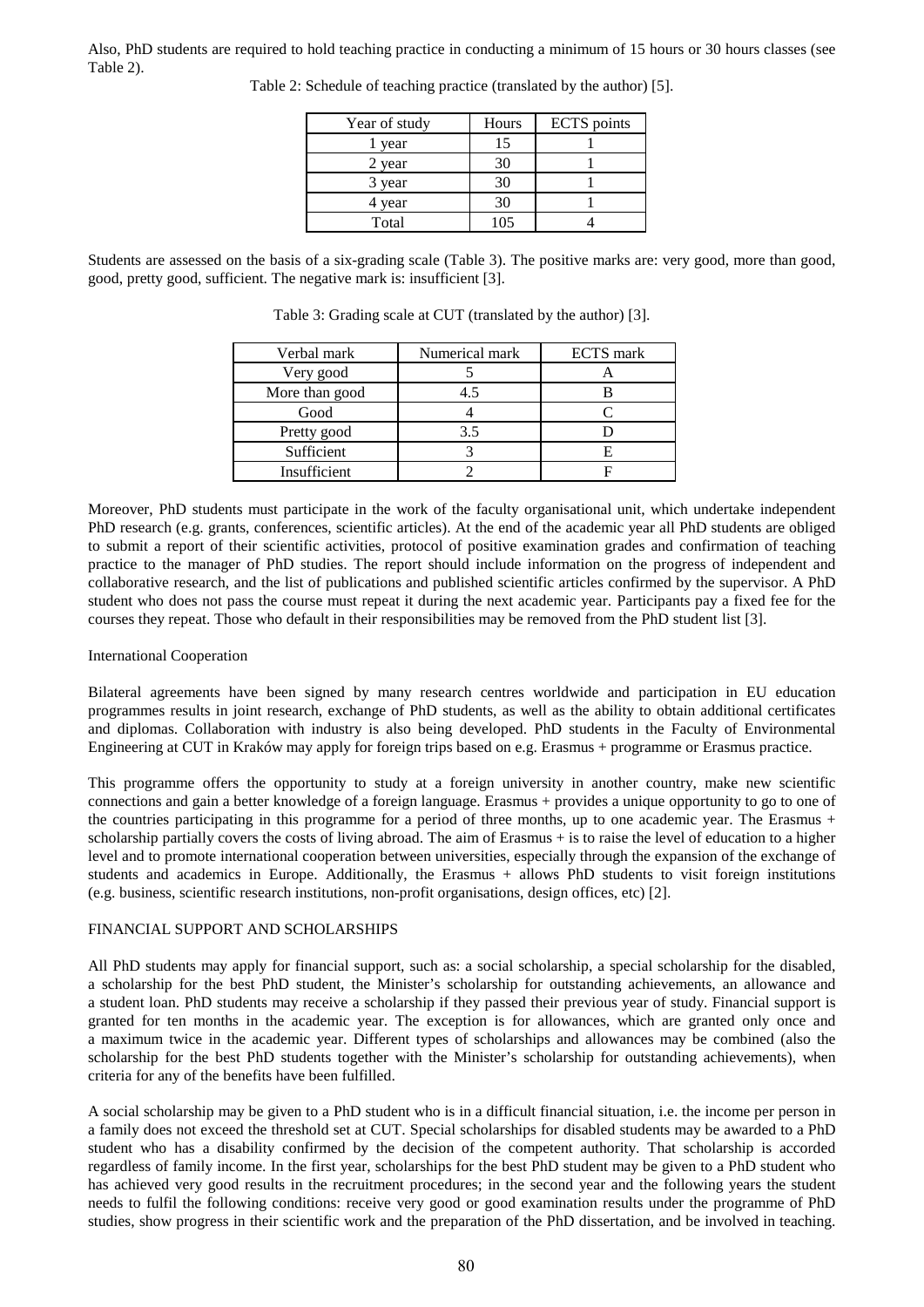Also, PhD students are required to hold teaching practice in conducting a minimum of 15 hours or 30 hours classes (see Table 2).

| Year of study | Hours | <b>ECTS</b> points |
|---------------|-------|--------------------|
| year          |       |                    |
| 2 year        | 30    |                    |
| 3 year        | 30    |                    |
| 4 year        | 30    |                    |
| Total         | 105   |                    |

Table 2: Schedule of teaching practice (translated by the author) [5].

Students are assessed on the basis of a six-grading scale (Table 3). The positive marks are: very good, more than good, good, pretty good, sufficient. The negative mark is: insufficient [3].

| Verbal mark    | Numerical mark | <b>ECTS</b> mark |
|----------------|----------------|------------------|
| Very good      |                |                  |
| More than good | 4.5            |                  |
| Good           |                |                  |
| Pretty good    | 3.5            |                  |
| Sufficient     |                |                  |
| Insufficient   |                |                  |

Table 3: Grading scale at CUT (translated by the author) [3].

Moreover, PhD students must participate in the work of the faculty organisational unit, which undertake independent PhD research (e.g. grants, conferences, scientific articles). At the end of the academic year all PhD students are obliged to submit a report of their scientific activities, protocol of positive examination grades and confirmation of teaching practice to the manager of PhD studies. The report should include information on the progress of independent and collaborative research, and the list of publications and published scientific articles confirmed by the supervisor. A PhD student who does not pass the course must repeat it during the next academic year. Participants pay a fixed fee for the courses they repeat. Those who default in their responsibilities may be removed from the PhD student list [3].

#### International Cooperation

Bilateral agreements have been signed by many research centres worldwide and participation in EU education programmes results in joint research, exchange of PhD students, as well as the ability to obtain additional certificates and diplomas. Collaboration with industry is also being developed. PhD students in the Faculty of Environmental Engineering at CUT in Kraków may apply for foreign trips based on e.g. Erasmus + programme or Erasmus practice.

This programme offers the opportunity to study at a foreign university in another country, make new scientific connections and gain a better knowledge of a foreign language. Erasmus + provides a unique opportunity to go to one of the countries participating in this programme for a period of three months, up to one academic year. The Erasmus + scholarship partially covers the costs of living abroad. The aim of Erasmus + is to raise the level of education to a higher level and to promote international cooperation between universities, especially through the expansion of the exchange of students and academics in Europe. Additionally, the Erasmus + allows PhD students to visit foreign institutions (e.g. business, scientific research institutions, non-profit organisations, design offices, etc) [2].

#### FINANCIAL SUPPORT AND SCHOLARSHIPS

All PhD students may apply for financial support, such as: a social scholarship, a special scholarship for the disabled, a scholarship for the best PhD student, the Minister's scholarship for outstanding achievements, an allowance and a student loan. PhD students may receive a scholarship if they passed their previous year of study. Financial support is granted for ten months in the academic year. The exception is for allowances, which are granted only once and a maximum twice in the academic year. Different types of scholarships and allowances may be combined (also the scholarship for the best PhD students together with the Minister's scholarship for outstanding achievements), when criteria for any of the benefits have been fulfilled.

A social scholarship may be given to a PhD student who is in a difficult financial situation, i.e. the income per person in a family does not exceed the threshold set at CUT. Special scholarships for disabled students may be awarded to a PhD student who has a disability confirmed by the decision of the competent authority. That scholarship is accorded regardless of family income. In the first year, scholarships for the best PhD student may be given to a PhD student who has achieved very good results in the recruitment procedures; in the second year and the following years the student needs to fulfil the following conditions: receive very good or good examination results under the programme of PhD studies, show progress in their scientific work and the preparation of the PhD dissertation, and be involved in teaching.